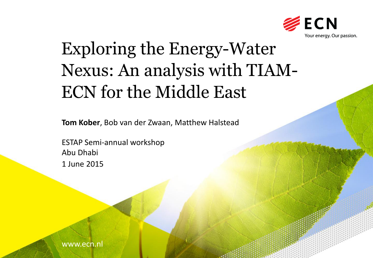

# Exploring the Energy-Water Nexus: An analysis with TIAM-ECN for the Middle East

**Tom Kober**, Bob van der Zwaan, Matthew Halstead

ESTAP Semi-annual workshop Abu Dhabi 1 June 2015

www.ecn.nl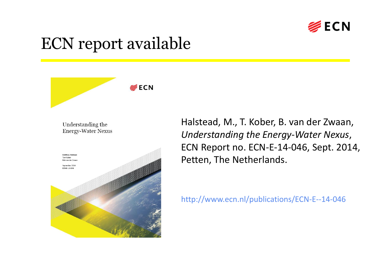

#### ECN report available



Halstead, M., T. Kober, B. van der Zwaan, *Understanding the Energy-Water Nexus*, ECN Report no. ECN-E-14-046, Sept. 2014, Petten, The Netherlands.

http://www.ecn.nl/publications/ECN-E--14-046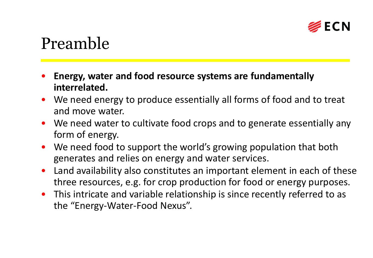

#### Preamble

- **Energy, water and food resource systems are fundamentally interrelated.**
- We need energy to produce essentially all forms of food and to treat and move water.
- We need water to cultivate food crops and to generate essentially any form of energy.
- We need food to support the world's growing population that both generates and relies on energy and water services.
- Land availability also constitutes an important element in each of these three resources, e.g. for crop production for food or energy purposes.
- This intricate and variable relationship is since recently referred to as the "Energy-Water-Food Nexus".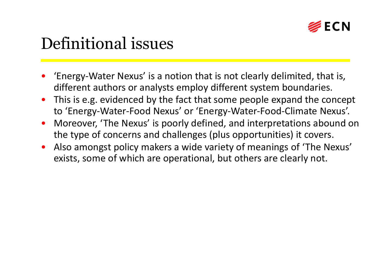

### Definitional issues

- 'Energy-Water Nexus' is a notion that is not clearly delimited, that is, different authors or analysts employ different system boundaries.
- This is e.g. evidenced by the fact that some people expand the concept to 'Energy-Water-Food Nexus' or 'Energy-Water-Food-Climate Nexus'.
- Moreover, 'The Nexus' is poorly defined, and interpretations abound on the type of concerns and challenges (plus opportunities) it covers.
- Also amongst policy makers a wide variety of meanings of 'The Nexus' exists, some of which are operational, but others are clearly not.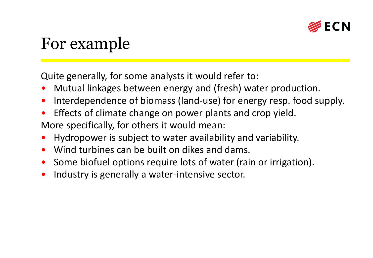

### For example

Quite generally, for some analysts it would refer to:

- Mutual linkages between energy and (fresh) water production.
- Interdependence of biomass (land-use) for energy resp. food supply.
- Effects of climate change on power plants and crop yield.

More specifically, for others it would mean:

- Hydropower is subject to water availability and variability.
- Wind turbines can be built on dikes and dams.
- Some biofuel options require lots of water (rain or irrigation).
- Industry is generally a water-intensive sector.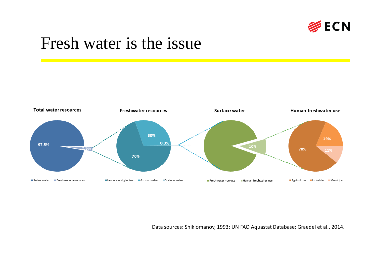

#### Fresh water is the issue



Data sources: Shiklomanov, 1993; UN FAO Aquastat Database; Graedel et al., 2014.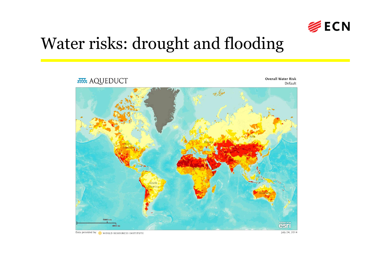

#### Water risks: drought and flooding



Data provided by: WORLD RESOURCES INSTITUTE

July 24, 2014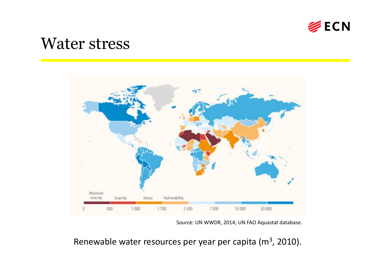

#### Water stress



Source: UN WWDR, 2014; UN FAO Aquastat database.

Renewable water resources per year per capita ( $m<sup>3</sup>$ , 2010).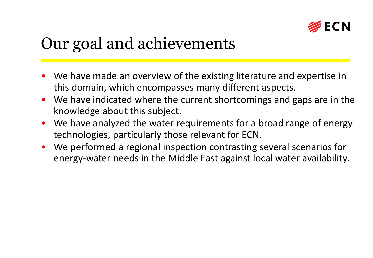

## Our goal and achievements

- We have made an overview of the existing literature and expertise in this domain, which encompasses many different aspects.
- We have indicated where the current shortcomings and gaps are in the knowledge about this subject.
- We have analyzed the water requirements for a broad range of energy technologies, particularly those relevant for ECN.
- We performed a regional inspection contrasting several scenarios for energy-water needs in the Middle East against local water availability.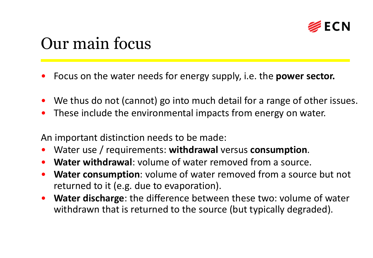

#### Our main focus

- Focus on the water needs for energy supply, i.e. the **power sector.**
- We thus do not (cannot) go into much detail for a range of other issues.
- These include the environmental impacts from energy on water.

An important distinction needs to be made:

- Water use / requirements: **withdrawal** versus **consumption**.
- **Water withdrawal**: volume of water removed from a source.
- **Water consumption**: volume of water removed from a source but not returned to it (e.g. due to evaporation).
- **Water discharge**: the difference between these two: volume of water withdrawn that is returned to the source (but typically degraded).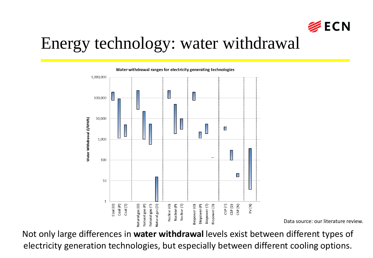

Data source: our literature review.

#### Energy technology: water withdrawal



Not only large differences in **water withdrawal** levels exist between different types of electricity generation technologies, but especially between different cooling options.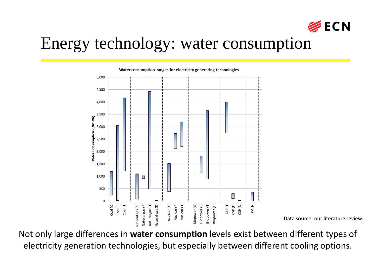

Data source: our literature review.

#### Energy technology: water consumption

5.000 4,500 4,000 3,500 Water Consumption (I/MWh) 3,000 2,500 2,000 1,500 1,000 П 500  $\Omega$ Coal (P) Coal (O)  $\mathsf{Coal}\left(\mathsf{T}\right)$  $Nuclear(T)$ CSP<sub>(D)</sub> CSP(N) PV (N)  $CSP(T)$ latural gas (O) Natural gas (P) Natural gas (T) Vatural gas (D) Nuclear<sub>(O)</sub> Nuclear (P) 3iopower(O) Biopower (P) Biopower<sup>(T)</sup> Biopower (D)

Water consumption ranges for electricity generating technologies

Not only large differences in **water consumption** levels exist between different types of electricity generation technologies, but especially between different cooling options.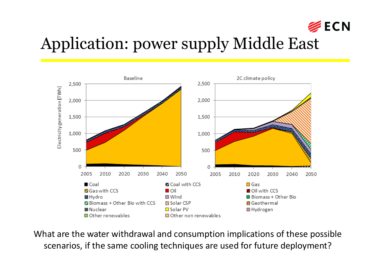

## Application: power supply Middle East



What are the water withdrawal and consumption implications of these possible scenarios, if the same cooling techniques are used for future deployment?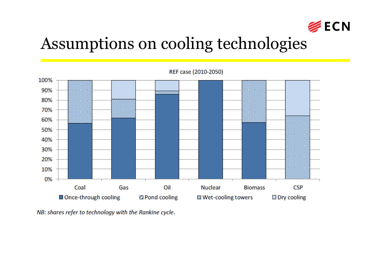

### Assumptions on cooling technologies



NB: shares refer to technology with the Rankine cycle.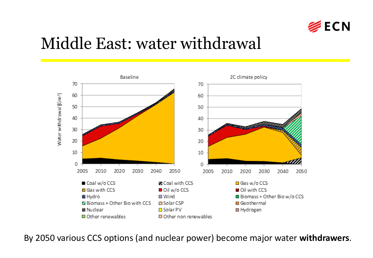

#### Middle East: water withdrawal



By 2050 various CCS options (and nuclear power) become major water **withdrawers**.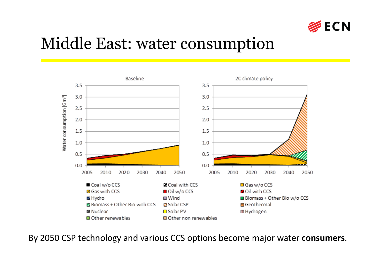

#### Middle East: water consumption



By 2050 CSP technology and various CCS options become major water **consumers**.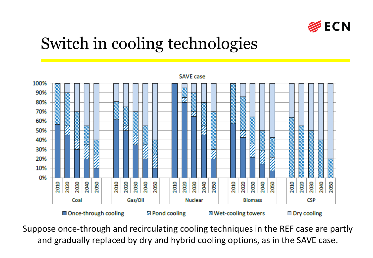

### Switch in cooling technologies



Suppose once-through and recirculating cooling techniques in the REF case are partly and gradually replaced by dry and hybrid cooling options, as in the SAVE case.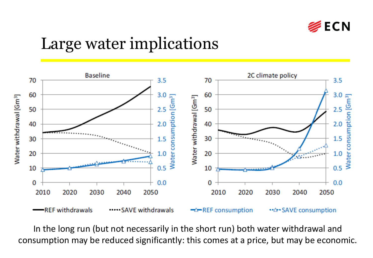

### Large water implications



In the long run (but not necessarily in the short run) both water withdrawal and consumption may be reduced significantly: this comes at a price, but may be economic.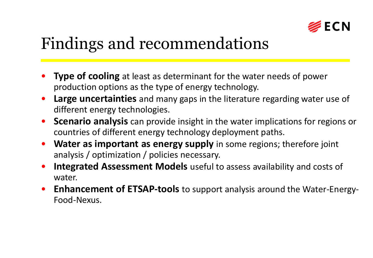

## Findings and recommendations

- **Type of cooling** at least as determinant for the water needs of power production options as the type of energy technology.
- **Large uncertainties** and many gaps in the literature regarding water use of different energy technologies.
- **Scenario analysis** can provide insight in the water implications for regions or countries of different energy technology deployment paths.
- **Water as important as energy supply** in some regions; therefore joint analysis / optimization / policies necessary.
- **Integrated Assessment Models** useful to assess availability and costs of water.
- **Enhancement of ETSAP-tools** to support analysis around the Water-Energy-Food-Nexus.